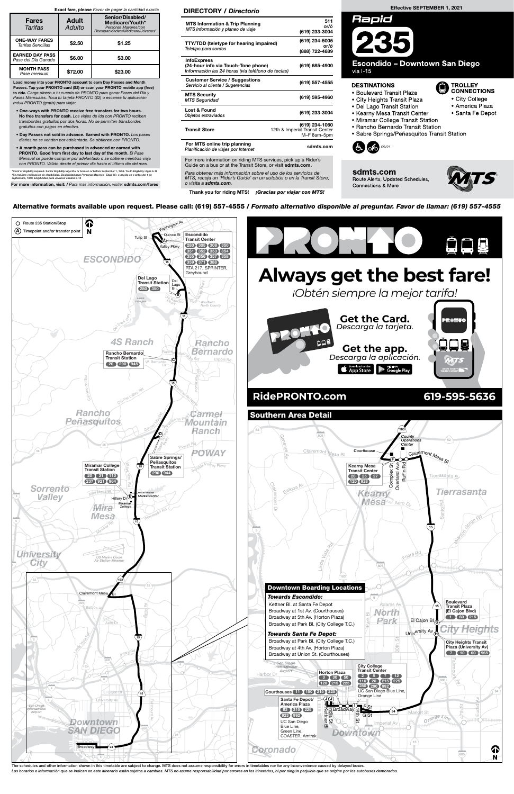

The schedules and other information shown in this timetable are subject to change. MTS does not assume responsibility for errors in timetables nor for any inconvenience caused by delayed buses. Los horarios e información que se indican en este itinerario están sujetos a cambios. MTS no asume responsabilidad por errores en los itinerarios, ni por ningún perjuicio que se origine por los autobuses demorados.

For more information on riding MTS services, pick up a Rider's Guide on a bus or at the Transit Store, or visit sdmts.com.

Alternative formats available upon request. Please call: (619) 557-4555 / Formato alternativo disponible al preguntar. Favor de llamar: (619) 557-4555

### Effective SEPTEMBER 1, 2021



**Escondido - Downtown San Diego** via I-15

#### **DESTINATIONS**



sdmts.com Route Alerts, Updated Schedules, **Connections & More** 



**D** TROLLEY<br>CONNECTIONS

• City College • America Plaza

· Santa Fe Depot

Para obtener más información sobre el uso de los servicios de MTS, recoja un 'Rider's Guide' en un autobús o en la Transit Store, o visita a sdmts.com.

Thank you for riding MTS! ¡Gracias por viajar con MTS!

DIRECTORY / Directorio MTS Information & Trip Planning MTS Información y planeo de viaje

511 or/ó (619) 233-3004

TTY/TDD (teletype for hearing impaired)

(619) 234-5005 or/ó

- · Boulevard Transit Plaza
- City Heights Transit Plaza
- Del Lago Transit Station
- Kearny Mesa Transit Center
- Miramar College Transit Station
- Rancho Bernardo Transit Station
- Sabre Springs/Peñasquitos Transit Station

| Teletipo para sordos                                                                                           | (888) 722-4889                                                  |
|----------------------------------------------------------------------------------------------------------------|-----------------------------------------------------------------|
| <b>InfoExpress</b><br>(24-hour info via Touch-Tone phone)<br>Información las 24 horas (via teléfono de teclas) | (619) 685-4900                                                  |
| <b>Customer Service / Suggestions</b><br>Servicio al cliente / Sugerencias                                     | (619) 557-4555                                                  |
| <b>MTS Security</b><br><b>MTS Seguridad</b>                                                                    | (619) 595-4960                                                  |
| Lost & Found<br>Objetos extraviados                                                                            | (619) 233-3004                                                  |
| <b>Transit Store</b>                                                                                           | (619) 234-1060<br>12th & Imperial Transit Center<br>M-F 8am-5pm |
| For MTS online trip planning<br>Planificación de viajes por Internet                                           | sdmts.com                                                       |

Load money into your PRONTO account to earn Day Passes and Month Passes. Tap your PRONTO card (\$2) or scan your PRONTO mobile app (free) to ride. Carga dinero a tu cuenta de PRONTO para ganar Pases del Día y Pases Mensuales. Toca tu tarjeta PRONTO (\$2) o escanea tu aplicación móvil PRONTO (gratis) para viajar.

- One-ways with PRONTO receive free transfers for two hours. No free transfers for cash. Los viajes de ida con PRONTO reciben transbordes gratuitos por dos horas. No se permiten transbordes gratuitos con pagos en efectivo.
- Day Passes not sold in advance. Earned with PRONTO. Los pases diarios no se venden por adelantado. Se obtienen con PRONTO.
- A month pass can be purchased in advanced or earned with PRONTO. Good from first day to last day of the month. El Pase Mensual se puede comprar por adelantado o se obtiene mientras viaja con PRONTO. Válido desde el primer día hasta el último día del mes.

\*Proof of eligibility required. Senior Eligibility: Age 65+ or born on or before September 1, 1959. Youth Eligibility: Ages 6-18<br>\*Se requiere verificación de elegibilidad. Elegibilidad para Personas Mayores: Edad 65+ o nac

For more information, visit: / Para más información, visite: sdmts.com/fares

### Exact fare, please Favor de pagar la cantidad exacta

| <b>Fares</b><br>Tarifas                       | <b>Adult</b><br>Adulto | Senior/Disabled/<br>Medicare/Youth*<br>Personas Mayores/con<br>Discapacidades/Medicare/Jóvenes* |
|-----------------------------------------------|------------------------|-------------------------------------------------------------------------------------------------|
| <b>ONE-WAY FARES</b><br>Tarifas Sencillas     | \$2.50                 | \$1.25                                                                                          |
| <b>EARNED DAY PASS</b><br>Pase del Día Ganado | \$6.00                 | \$3.00                                                                                          |
| <b>MONTH PASS</b><br>Pase mensual             | \$72.00                | \$23.00                                                                                         |